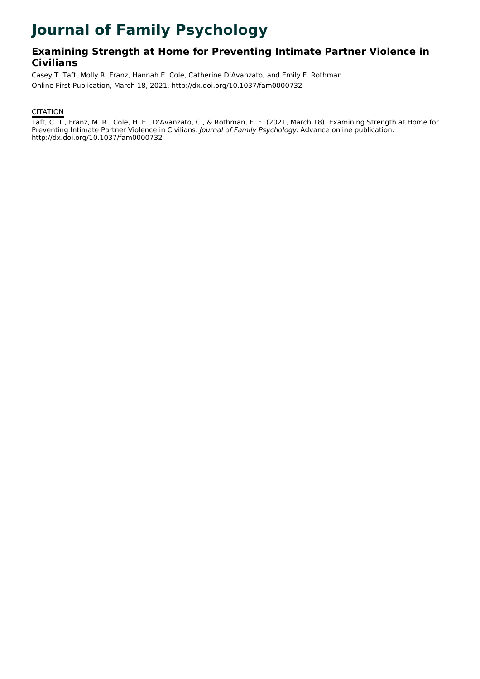# **Journal of Family Psychology**

# **Examining Strength at Home for Preventing Intimate Partner Violence in Civilians**

Casey T. Taft, Molly R. Franz, Hannah E. Cole, Catherine D'Avanzato, and Emily F. Rothman Online First Publication, March 18, 2021. http://dx.doi.org/10.1037/fam0000732

## **CITATION**

Taft, C. T., Franz, M. R., Cole, H. E., D'Avanzato, C., & Rothman, E. F. (2021, March 18). Examining Strength at Home for Preventing Intimate Partner Violence in Civilians. Journal of Family Psychology. Advance online publication. http://dx.doi.org/10.1037/fam0000732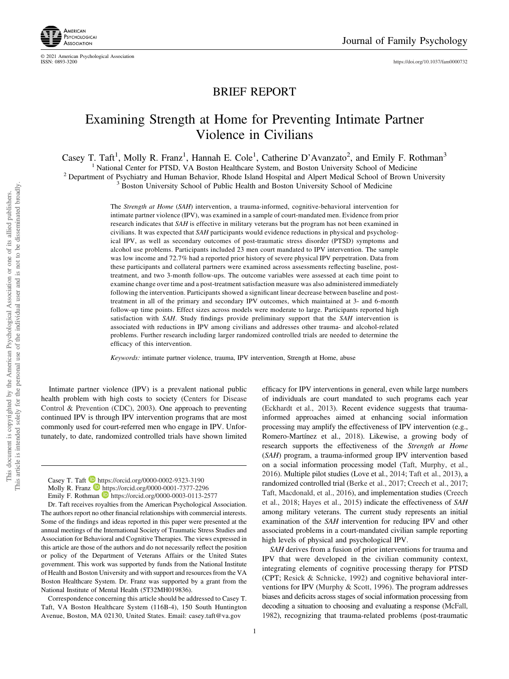

© 2021 American Psychological Association

<https://doi.org/10.1037/fam0000732>

# BRIEF REPORT

# Examining Strength at Home for Preventing Intimate Partner Violence in Civilians

Casey T. Taft<sup>1</sup>, Molly R. Franz<sup>1</sup>, Hannah E. Cole<sup>1</sup>, Catherine D'Avanzato<sup>2</sup>, and Emily F. Rothman<sup>3</sup>

<sup>1</sup> National Center for PTSD, VA Boston Healthcare System, and Boston University School of Medicine<br><sup>2</sup> Department of Psychiatry and Human Behavior, Rhode Island Hospital and Alpert Medical School of Brown University<br><sup>3</sup>

The Strength at Home (SAH) intervention, a trauma-informed, cognitive-behavioral intervention for intimate partner violence (IPV), was examined in a sample of court-mandated men. Evidence from prior research indicates that SAH is effective in military veterans but the program has not been examined in civilians. It was expected that SAH participants would evidence reductions in physical and psychological IPV, as well as secondary outcomes of post-traumatic stress disorder (PTSD) symptoms and alcohol use problems. Participants included 23 men court mandated to IPV intervention. The sample was low income and 72.7% had a reported prior history of severe physical IPV perpetration. Data from these participants and collateral partners were examined across assessments reflecting baseline, posttreatment, and two 3-month follow-ups. The outcome variables were assessed at each time point to examine change over time and a post-treatment satisfaction measure was also administered immediately following the intervention. Participants showed a significant linear decrease between baseline and posttreatment in all of the primary and secondary IPV outcomes, which maintained at 3- and 6-month follow-up time points. Effect sizes across models were moderate to large. Participants reported high satisfaction with SAH. Study findings provide preliminary support that the SAH intervention is associated with reductions in IPV among civilians and addresses other trauma- and alcohol-related problems. Further research including larger randomized controlled trials are needed to determine the efficacy of this intervention.

Keywords: intimate partner violence, trauma, IPV intervention, Strength at Home, abuse

Intimate partner violence (IPV) is a prevalent national public health problem with high costs to society (Centers for Disease Control & Prevention (CDC), 2003). One approach to preventing continued IPV is through IPV intervention programs that are most commonly used for court-referred men who engage in IPV. Unfortunately, to date, randomized controlled trials have shown limited

Casey T. Taft **b** <https://orcid.org/0000-0002-9323-3190> Molly R. Franz **<https://orcid.org/0000-0001-7377-2296>** 

Dr. Taft receives royalties from the American Psychological Association. The authors report no other financial relationships with commercial interests. Some of the findings and ideas reported in this paper were presented at the annual meetings of the International Society of Traumatic Stress Studies and Association for Behavioral and Cognitive Therapies. The views expressed in this article are those of the authors and do not necessarily reflect the position or policy of the Department of Veterans Affairs or the United States government. This work was supported by funds from the National Institute of Health and Boston University and with support and resources from the VA Boston Healthcare System. Dr. Franz was supported by a grant from the National Institute of Mental Health (5T32MH019836).

Correspondence concerning this article should be addressed to Casey T. Taft, VA Boston Healthcare System (116B-4), 150 South Huntington Avenue, Boston, MA 02130, United States. Email: [casey.taft@va.gov](mailto:casey.taft@va.gov)

efficacy for IPV interventions in general, even while large numbers of individuals are court mandated to such programs each year (Eckhardt et al., 2013). Recent evidence suggests that traumainformed approaches aimed at enhancing social information processing may amplify the effectiveness of IPV intervention (e.g., Romero-Martínez et al., 2018). Likewise, a growing body of research supports the effectiveness of the Strength at Home (SAH) program, a trauma-informed group IPV intervention based on a social information processing model (Taft, Murphy, et al., 2016). Multiple pilot studies (Love et al., 2014; Taft et al., 2013), a randomized controlled trial (Berke et al., 2017; Creech et al., 2017; Taft, Macdonald, et al., 2016), and implementation studies (Creech et al., 2018; Hayes et al., 2015) indicate the effectiveness of SAH among military veterans. The current study represents an initial examination of the SAH intervention for reducing IPV and other associated problems in a court-mandated civilian sample reporting high levels of physical and psychological IPV.

SAH derives from a fusion of prior interventions for trauma and IPV that were developed in the civilian community context, integrating elements of cognitive processing therapy for PTSD (CPT; Resick & Schnicke, 1992) and cognitive behavioral interventions for IPV ([Murphy & Scott, 1996](#page-5-0)). The program addresses biases and deficits across stages of social information processing from decoding a situation to choosing and evaluating a response (McFall, 1982), recognizing that trauma-related problems (post-traumatic

1

Emily F. Rothman <https://orcid.org/0000-0003-0113-2577>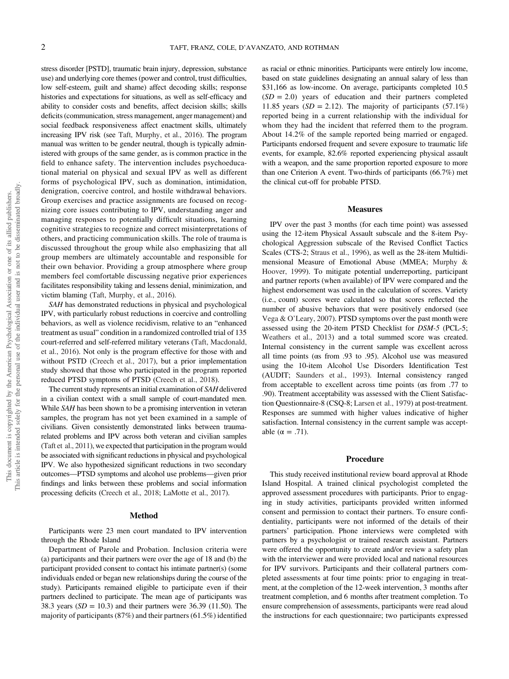stress disorder [PSTD], traumatic brain injury, depression, substance use) and underlying core themes (power and control, trust difficulties, low self-esteem, guilt and shame) affect decoding skills; response histories and expectations for situations, as well as self-efficacy and ability to consider costs and benefits, affect decision skills; skills deficits (communication, stress management, anger management) and social feedback responsiveness affect enactment skills, ultimately increasing IPV risk (see Taft, Murphy, et al., 2016). The program manual was written to be gender neutral, though is typically administered with groups of the same gender, as is common practice in the field to enhance safety. The intervention includes psychoeducational material on physical and sexual IPV as well as different forms of psychological IPV, such as domination, intimidation, denigration, coercive control, and hostile withdrawal behaviors. Group exercises and practice assignments are focused on recognizing core issues contributing to IPV, understanding anger and managing responses to potentially difficult situations, learning cognitive strategies to recognize and correct misinterpretations of others, and practicing communication skills. The role of trauma is discussed throughout the group while also emphasizing that all group members are ultimately accountable and responsible for their own behavior. Providing a group atmosphere where group members feel comfortable discussing negative prior experiences facilitates responsibility taking and lessens denial, minimization, and victim blaming (Taft, Murphy, et al., 2016).

SAH has demonstrated reductions in physical and psychological IPV, with particularly robust reductions in coercive and controlling behaviors, as well as violence recidivism, relative to an "enhanced treatment as usual" condition in a randomized controlled trial of 135 court-referred and self-referred military veterans (Taft, Macdonald, et al., 2016). Not only is the program effective for those with and without PSTD (Creech et al., 2017), but a prior implementation study showed that those who participated in the program reported reduced PTSD symptoms of PTSD (Creech et al., 2018).

The current study represents an initial examination of SAH delivered in a civilian context with a small sample of court-mandated men. While SAH has been shown to be a promising intervention in veteran samples, the program has not yet been examined in a sample of civilians. Given consistently demonstrated links between traumarelated problems and IPV across both veteran and civilian samples (Taft et al., 2011), we expected that participation in the program would be associated with significant reductions in physical and psychological IPV. We also hypothesized significant reductions in two secondary outcomes—PTSD symptoms and alcohol use problems—given prior findings and links between these problems and social information processing deficits (Creech et al., 2018; LaMotte et al., 2017).

#### Method

Participants were 23 men court mandated to IPV intervention through the Rhode Island

Department of Parole and Probation. Inclusion criteria were (a) participants and their partners were over the age of 18 and (b) the participant provided consent to contact his intimate partner(s) (some individuals ended or began new relationships during the course of the study). Participants remained eligible to participate even if their partners declined to participate. The mean age of participants was 38.3 years  $(SD = 10.3)$  and their partners were 36.39 (11.50). The majority of participants (87%) and their partners (61.5%) identified

as racial or ethnic minorities. Participants were entirely low income, based on state guidelines designating an annual salary of less than \$31,166 as low-income. On average, participants completed 10.5  $(SD = 2.0)$  years of education and their partners completed 11.85 years  $(SD = 2.12)$ . The majority of participants  $(57.1\%)$ reported being in a current relationship with the individual for whom they had the incident that referred them to the program. About 14.2% of the sample reported being married or engaged. Participants endorsed frequent and severe exposure to traumatic life events, for example, 82.6% reported experiencing physical assault with a weapon, and the same proportion reported exposure to more than one Criterion A event. Two-thirds of participants (66.7%) met the clinical cut-off for probable PTSD.

#### Measures

IPV over the past 3 months (for each time point) was assessed using the 12-item Physical Assault subscale and the 8-item Psychological Aggression subscale of the Revised Conflict Tactics Scales (CTS-2; Straus et al., 1996), as well as the 28-item Multidimensional Measure of Emotional Abuse (MMEA; Murphy & Hoover, 1999). To mitigate potential underreporting, participant and partner reports (when available) of IPV were compared and the highest endorsement was used in the calculation of scores. Variety (i.e., count) scores were calculated so that scores reflected the number of abusive behaviors that were positively endorsed (see Vega & O'Leary, 2007). PTSD symptoms over the past month were assessed using the 20-item PTSD Checklist for DSM-5 (PCL-5; Weathers et al., 2013) and a total summed score was created. Internal consistency in the current sample was excellent across all time points (αs from .93 to .95). Alcohol use was measured using the 10-item Alcohol Use Disorders Identification Test (AUDIT; Saunders et al., 1993). Internal consistency ranged from acceptable to excellent across time points ( $\alpha$ s from .77 to .90). Treatment acceptability was assessed with the Client Satisfaction Questionnaire-8 (CSQ-8; Larsen et al., 1979) at post-treatment. Responses are summed with higher values indicative of higher satisfaction. Internal consistency in the current sample was acceptable ( $\alpha = .71$ ).

#### Procedure

This study received institutional review board approval at Rhode Island Hospital. A trained clinical psychologist completed the approved assessment procedures with participants. Prior to engaging in study activities, participants provided written informed consent and permission to contact their partners. To ensure confidentiality, participants were not informed of the details of their partners' participation. Phone interviews were completed with partners by a psychologist or trained research assistant. Partners were offered the opportunity to create and/or review a safety plan with the interviewer and were provided local and national resources for IPV survivors. Participants and their collateral partners completed assessments at four time points: prior to engaging in treatment, at the completion of the 12-week intervention, 3 months after treatment completion, and 6 months after treatment completion. To ensure comprehension of assessments, participants were read aloud the instructions for each questionnaire; two participants expressed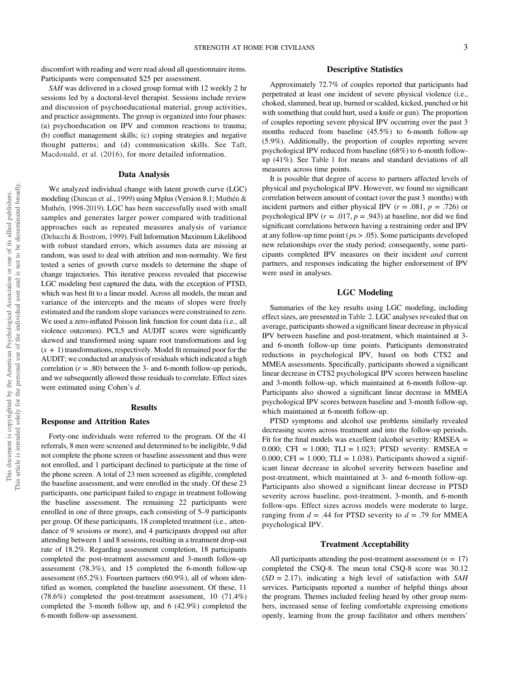discomfort with reading and were read aloud all questionnaire items. Participants were compensated \$25 per assessment.

SAH was delivered in a closed group format with 12 weekly 2 hr sessions led by a doctoral-level therapist. Sessions include review and discussion of psychoeducational material, group activities, and practice assignments. The group is organized into four phases: (a) psychoeducation on IPV and common reactions to trauma; (b) conflict management skills; (c) coping strategies and negative thought patterns; and (d) communication skills. See Taft, Macdonald, et al. (2016), for more detailed information.

#### Data Analysis

We analyzed individual change with latent growth curve (LGC) modeling (Duncan et al., 1999) using Mplus (Version 8.1; Muthén & Muthén, 1998-2019). LGC has been successfully used with small samples and generates larger power compared with traditional approaches such as repeated measures analysis of variance (Delucchi & Bostrom, 1999). Full Information Maximum Likelihood with robust standard errors, which assumes data are missing at random, was used to deal with attrition and non-normality. We first tested a series of growth curve models to determine the shape of change trajectories. This iterative process revealed that piecewise LGC modeling best captured the data, with the exception of PTSD, which was best fit to a linear model. Across all models, the mean and variance of the intercepts and the means of slopes were freely estimated and the random slope variances were constrained to zero. We used a zero-inflated Poisson link function for count data (i.e., all violence outcomes). PCL5 and AUDIT scores were significantly skewed and transformed using square root transformations and log  $(x + 1)$  transformations, respectively. Model fit remained poor for the AUDIT; we conducted an analysis of residuals which indicated a high correlation  $(r = .80)$  between the 3- and 6-month follow-up periods, and we subsequently allowed those residuals to correlate. Effect sizes were estimated using Cohen's d.

#### **Results**

### Response and Attrition Rates

Forty-one individuals were referred to the program. Of the 41 referrals, 8 men were screened and determined to be ineligible, 9 did not complete the phone screen or baseline assessment and thus were not enrolled, and 1 participant declined to participate at the time of the phone screen. A total of 23 men screened as eligible, completed the baseline assessment, and were enrolled in the study. Of these 23 participants, one participant failed to engage in treatment following the baseline assessment. The remaining 22 participants were enrolled in one of three groups, each consisting of 5–9 participants per group. Of these participants, 18 completed treatment (i.e., attendance of 9 sessions or more), and 4 participants dropped out after attending between 1 and 8 sessions, resulting in a treatment drop-out rate of 18.2%. Regarding assessment completion, 18 participants completed the post-treatment assessment and 3-month follow-up assessment (78.3%), and 15 completed the 6-month follow-up assessment (65.2%). Fourteen partners (60.9%), all of whom identified as women, completed the baseline assessment. Of these, 11 (78.6%) completed the post-treatment assessment, 10 (71.4%) completed the 3-month follow up, and 6 (42.9%) completed the 6-month follow-up assessment.

### Descriptive Statistics

Approximately 72.7% of couples reported that participants had perpetrated at least one incident of severe physical violence (i.e., choked, slammed, beat up, burned or scalded, kicked, punched or hit with something that could hurt, used a knife or gun). The proportion of couples reporting severe physical IPV occurring over the past 3 months reduced from baseline (45.5%) to 6-month follow-up (5.9%). Additionally, the proportion of couples reporting severe psychological IPV reduced from baseline (68%) to 6-month followup (41%). See Table 1 for means and standard deviations of all measures across time points.

It is possible that degree of access to partners affected levels of physical and psychological IPV. However, we found no significant correlation between amount of contact (over the past 3 months) with incident partners and either physical IPV ( $r = .081$ ,  $p = .726$ ) or psychological IPV ( $r = .017$ ,  $p = .943$ ) at baseline, nor did we find significant correlations between having a restraining order and IPV at any follow-up time point ( $ps > .05$ ). Some participants developed new relationships over the study period; consequently, some participants completed IPV measures on their incident and current partners, and responses indicating the higher endorsement of IPV were used in analyses.

### LGC Modeling

Summaries of the key results using LGC modeling, including effect sizes, are presented in [Table 2](#page-4-0). LGC analyses revealed that on average, participants showed a significant linear decrease in physical IPV between baseline and post-treatment, which maintained at 3 and 6-month follow-up time points. Participants demonstrated reductions in psychological IPV, based on both CTS2 and MMEA assessments. Specifically, participants showed a significant linear decrease in CTS2 psychological IPV scores between baseline and 3-month follow-up, which maintained at 6-month follow-up. Participants also showed a significant linear decrease in MMEA psychological IPV scores between baseline and 3-month follow-up, which maintained at 6-month follow-up.

PTSD symptoms and alcohol use problems similarly revealed decreasing scores across treatment and into the follow-up periods. Fit for the final models was excellent (alcohol severity: RMSEA = 0.000; CFI = 1.000; TLI = 1.023; PTSD severity: RMSEA = 0.000; CFI =  $1.000$ ; TLI =  $1.038$ ). Participants showed a significant linear decrease in alcohol severity between baseline and post-treatment, which maintained at 3- and 6-month follow-up. Participants also showed a significant linear decrease in PTSD severity across baseline, post-treatment, 3-month, and 6-month follow-ups. Effect sizes across models were moderate to large, ranging from  $d = .44$  for PTSD severity to  $d = .79$  for MMEA psychological IPV.

#### Treatment Acceptability

All participants attending the post-treatment assessment  $(n = 17)$ completed the CSQ-8. The mean total CSQ-8 score was 30.12  $(SD = 2.17)$ , indicating a high level of satisfaction with SAH services. Participants reported a number of helpful things about the program. Themes included feeling heard by other group members, increased sense of feeling comfortable expressing emotions openly, learning from the group facilitator and others members'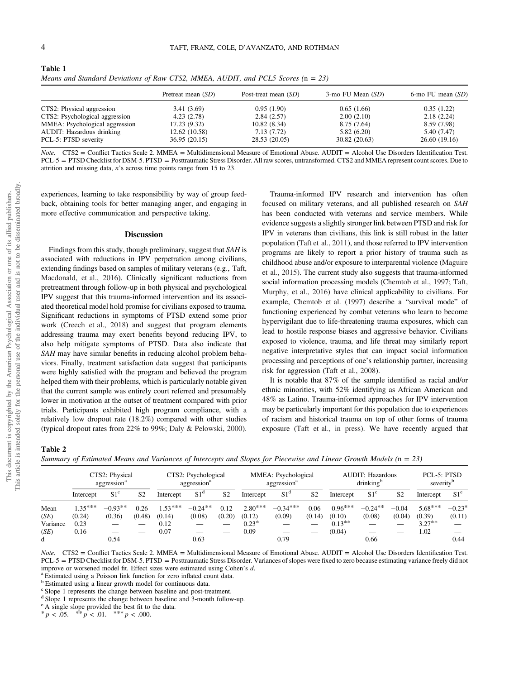|                                                   | Pretreat mean (SD)           | Post-treat mean $(SD)$     | $3$ -mo FU Mean $(SD)$     | 6-mo FU mean $(SD)$          |
|---------------------------------------------------|------------------------------|----------------------------|----------------------------|------------------------------|
| CTS2: Physical aggression                         | 3.41(3.69)                   | 0.95(1.90)                 | 0.65(1.66)                 | 0.35(1.22)                   |
| CTS2: Psychological aggression                    | 4.23(2.78)                   | 2.84(2.57)                 | 2.00(2.10)                 | 2.18(2.24)                   |
| MMEA: Psychological aggression                    | 17.23 (9.32)                 | 10.82(8.34)                | 8.75(7.64)                 | 8.59 (7.98)                  |
| AUDIT: Hazardous drinking<br>PCL-5: PTSD severity | 12.62(10.58)<br>36.95(20.15) | 7.13(7.72)<br>28.53(20.05) | 5.82(6.20)<br>30.82(20.63) | 5.40 (7.47)<br>26.60 (19.16) |
|                                                   |                              |                            |                            |                              |

<span id="page-4-0"></span>Table 1 Means and Standard Deviations of Raw CTS2, MMEA, AUDIT, and PCL5 Scores  $(n = 23)$ 

 $Note. CTS2 = Conflict2$ : Scale 2. MMEA = Multidimensional Measure of Emotional Abuse. AUDIT = Alcohol Use Disorders Identification Test. PCL-5 = PTSD Checklist for DSM-5. PTSD = Posttraumatic Stress Disorder. All raw scores, untransformed. CTS2 and MMEA represent count scores. Due to attrition and missing data, n's across time points range from 15 to 23.

experiences, learning to take responsibility by way of group feedback, obtaining tools for better managing anger, and engaging in more effective communication and perspective taking.

#### Discussion

Findings from this study, though preliminary, suggest that SAH is associated with reductions in IPV perpetration among civilians, extending findings based on samples of military veterans (e.g., Taft, Macdonald, et al., 2016). Clinically significant reductions from pretreatment through follow-up in both physical and psychological IPV suggest that this trauma-informed intervention and its associated theoretical model hold promise for civilians exposed to trauma. Significant reductions in symptoms of PTSD extend some prior work (Creech et al., 2018) and suggest that program elements addressing trauma may exert benefits beyond reducing IPV, to also help mitigate symptoms of PTSD. Data also indicate that SAH may have similar benefits in reducing alcohol problem behaviors. Finally, treatment satisfaction data suggest that participants were highly satisfied with the program and believed the program helped them with their problems, which is particularly notable given that the current sample was entirely court referred and presumably lower in motivation at the outset of treatment compared with prior trials. Participants exhibited high program compliance, with a relatively low dropout rate (18.2%) compared with other studies (typical dropout rates from 22% to 99%; Daly & Pelowski, 2000).

Trauma-informed IPV research and intervention has often focused on military veterans, and all published research on SAH has been conducted with veterans and service members. While evidence suggests a slightly stronger link between PTSD and risk for IPV in veterans than civilians, this link is still robust in the latter population (Taft et al., 2011), and those referred to IPV intervention programs are likely to report a prior history of trauma such as childhood abuse and/or exposure to interparental violence (Maguire et al., 2015). The current study also suggests that trauma-informed social information processing models (Chemtob et al., 1997; Taft, Murphy, et al., 2016) have clinical applicability to civilians. For example, Chemtob et al. (1997) describe a "survival mode" of functioning experienced by combat veterans who learn to become hypervigilant due to life-threatening trauma exposures, which can lead to hostile response biases and aggressive behavior. Civilians exposed to violence, trauma, and life threat may similarly report negative interpretative styles that can impact social information processing and perceptions of one's relationship partner, increasing risk for aggression (Taft et al., 2008).

It is notable that 87% of the sample identified as racial and/or ethnic minorities, with 52% identifying as African American and 48% as Latino. Trauma-informed approaches for IPV intervention may be particularly important for this population due to experiences of racism and historical trauma on top of other forms of trauma exposure (Taft et al., in press). We have recently argued that

### Table 2

| Summary of Estimated Means and Variances of Intercepts and Slopes for Piecewise and Linear Growth Models ( $n = 23$ ) |  |  |  |  |
|-----------------------------------------------------------------------------------------------------------------------|--|--|--|--|
|-----------------------------------------------------------------------------------------------------------------------|--|--|--|--|

|                                  | CTS2: Physical<br>aggression <sup>a</sup> |                     | CTS2: Psychological<br>aggression <sup>a</sup> |                                     | MMEA: Psychological<br>aggression <sup>a</sup> |                      | <b>AUDIT: Hazardous</b><br>drinking <sup>b</sup> |                      |                | PCL-5: PTSD<br>severity <sup>b</sup>       |                      |                   |                                          |                    |
|----------------------------------|-------------------------------------------|---------------------|------------------------------------------------|-------------------------------------|------------------------------------------------|----------------------|--------------------------------------------------|----------------------|----------------|--------------------------------------------|----------------------|-------------------|------------------------------------------|--------------------|
|                                  | Intercept                                 | S1 <sup>c</sup>     | S <sub>2</sub>                                 | Intercept                           | S1 <sup>d</sup>                                | S <sub>2</sub>       | Intercept                                        | S1 <sup>d</sup>      | S <sub>2</sub> | Intercept                                  | S1 <sup>c</sup>      | S <sub>2</sub>    | Intercept                                | S1 <sup>e</sup>    |
| Mean<br>(SE)<br>Variance<br>(SE) | $1.35***$<br>(0.24)<br>0.23<br>0.16       | $-0.93**$<br>(0.36) | 0.26<br>(0.48)                                 | $1.53***$<br>(0.14)<br>0.12<br>0.07 | $-0.24***$<br>(0.08)                           | 0.12<br>(0.20)<br>__ | $2.80***$<br>(0.12)<br>$0.23*$<br>0.09           | $-0.34***$<br>(0.09) | 0.06<br>(0.14) | $0.96***$<br>(0.10)<br>$0.13***$<br>(0.04) | $-0.24***$<br>(0.08) | $-0.04$<br>(0.04) | $5.68***$<br>(0.39)<br>$3.27***$<br>1.02 | $-0.23*$<br>(0.11) |
|                                  |                                           | 0.54                |                                                |                                     | 0.63                                           |                      |                                                  | 0.79                 |                |                                            | 0.66                 |                   |                                          | 0.44               |

Note. CTS2 = Conflict Tactics Scale 2. MMEA = Multidimensional Measure of Emotional Abuse. AUDIT = Alcohol Use Disorders Identification Test. PCL-5 = PTSD Checklist for DSM-5. PTSD = Posttraumatic Stress Disorder. Variances of slopes were fixed to zero because estimating variance freely did not improve or worsened model fit. Effect sizes were estimated using Cohen's  $d$ . a Estimated using a linear growth model for continuous data.

<sup>c</sup> Slope 1 represents the change between baseline and post-treatment.

<sup>d</sup> Slope 1 represents the change between baseline and 3-month follow-up.

<sup>e</sup> A single slope provided the best fit to the data.  $* p < .05.$  \*\*  $p < .01.$  \*\*\*  $p < .000.$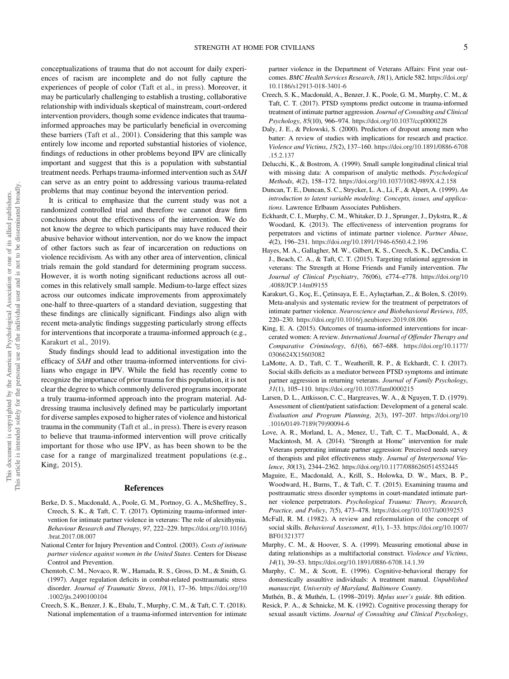<span id="page-5-0"></span>conceptualizations of trauma that do not account for daily experiences of racism are incomplete and do not fully capture the experiences of people of color (Taft et al., in press). Moreover, it may be particularly challenging to establish a trusting, collaborative relationship with individuals skeptical of mainstream, court-ordered intervention providers, though some evidence indicates that traumainformed approaches may be particularly beneficial in overcoming these barriers (Taft et al., 2001). Considering that this sample was entirely low income and reported substantial histories of violence, findings of reductions in other problems beyond IPV are clinically important and suggest that this is a population with substantial treatment needs. Perhaps trauma-informed intervention such as SAH can serve as an entry point to addressing various trauma-related problems that may continue beyond the intervention period.

It is critical to emphasize that the current study was not a randomized controlled trial and therefore we cannot draw firm conclusions about the effectiveness of the intervention. We do not know the degree to which participants may have reduced their abusive behavior without intervention, nor do we know the impact of other factors such as fear of incarceration on reductions on violence recidivism. As with any other area of intervention, clinical trials remain the gold standard for determining program success. However, it is worth noting significant reductions across all outcomes in this relatively small sample. Medium-to-large effect sizes across our outcomes indicate improvements from approximately one-half to three-quarters of a standard deviation, suggesting that these findings are clinically significant. Findings also align with recent meta-analytic findings suggesting particularly strong effects for interventions that incorporate a trauma-informed approach (e.g., Karakurt et al., 2019).

Study findings should lead to additional investigation into the efficacy of SAH and other trauma-informed interventions for civilians who engage in IPV. While the field has recently come to recognize the importance of prior trauma for this population, it is not clear the degree to which commonly delivered programs incorporate a truly trauma-informed approach into the program material. Addressing trauma inclusively defined may be particularly important for diverse samples exposed to higher rates of violence and historical trauma in the community (Taft et al., in press). There is every reason to believe that trauma-informed intervention will prove critically important for those who use IPV, as has been shown to be the case for a range of marginalized treatment populations (e.g., King, 2015).

#### References

- Berke, D. S., Macdonald, A., Poole, G. M., Portnoy, G. A., McSheffrey, S., Creech, S. K., & Taft, C. T. (2017). Optimizing trauma-informed intervention for intimate partner violence in veterans: The role of alexithymia. Behaviour Research and Therapy, 97, 222–229. [https://doi.org/10.1016/j](https://doi.org/10.1016/j.brat.2017.08.007) [.brat.2017.08.007](https://doi.org/10.1016/j.brat.2017.08.007)
- National Center for Injury Prevention and Control. (2003). Costs of intimate partner violence against women in the United States. Centers for Disease Control and Prevention.
- Chemtob, C. M., Novaco, R. W., Hamada, R. S., Gross, D. M., & Smith, G. (1997). Anger regulation deficits in combat-related posttraumatic stress disorder. Journal of Traumatic Stress, 10(1), 17-36. [https://doi.org/10](https://doi.org/10.1002/jts.2490100104) [.1002/jts.2490100104](https://doi.org/10.1002/jts.2490100104)
- Creech, S. K., Benzer, J. K., Ebalu, T., Murphy, C. M., & Taft, C. T. (2018). National implementation of a trauma-informed intervention for intimate

partner violence in the Department of Veterans Affairs: First year outcomes. BMC Health Services Research, 18(1), Article 582. [https://doi.org/](https://doi.org/10.1186/s12913-018-3401-6) [10.1186/s12913-018-3401-6](https://doi.org/10.1186/s12913-018-3401-6)

- Creech, S. K., Macdonald, A., Benzer, J. K., Poole, G. M., Murphy, C. M., & Taft, C. T. (2017). PTSD symptoms predict outcome in trauma-informed treatment of intimate partner aggression. Journal of Consulting and Clinical Psychology, 85(10), 966–974. <https://doi.org/10.1037/ccp0000228>
- Daly, J. E., & Pelowski, S. (2000). Predictors of dropout among men who batter: A review of studies with implications for research and practice. Violence and Victims, 15(2), 137–160. [https://doi.org/10.1891/0886-6708](https://doi.org/10.1891/0886-6708.15.2.137) [.15.2.137](https://doi.org/10.1891/0886-6708.15.2.137)
- Delucchi, K., & Bostrom, A. (1999). Small sample longitudinal clinical trial with missing data: A comparison of analytic methods. Psychological Methods, 4(2), 158–172. <https://doi.org/10.1037/1082-989X.4.2.158>
- Duncan, T. E., Duncan, S. C., Strycker, L. A., Li, F., & Alpert, A. (1999). An introduction to latent variable modeling: Concepts, issues, and applications. Lawrence Erlbaum Associates Publishers.
- Eckhardt, C. I., Murphy, C. M., Whitaker, D. J., Sprunger, J., Dykstra, R., & Woodard, K. (2013). The effectiveness of intervention programs for perpetrators and victims of intimate partner violence. Partner Abuse, 4(2), 196–231. <https://doi.org/10.1891/1946-6560.4.2.196>
- Hayes, M. A., Gallagher, M. W., Gilbert, K. S., Creech, S. K., DeCandia, C. J., Beach, C. A., & Taft, C. T. (2015). Targeting relational aggression in veterans: The Strength at Home Friends and Family intervention. The Journal of Clinical Psychiatry, 76(06), e774–e778. [https://doi.org/10](https://doi.org/10.4088/JCP.14m09155) [.4088/JCP.14m09155](https://doi.org/10.4088/JCP.14m09155)
- Karakurt, G., Koç, E., Çetinsaya, E. E., Ayluçtarhan, Z., & Bolen, S. (2019). Meta-analysis and systematic review for the treatment of perpetrators of intimate partner violence. Neuroscience and Biobehavioral Reviews, 105, 220–230. <https://doi.org/10.1016/j.neubiorev.2019.08.006>
- King, E. A. (2015). Outcomes of trauma-informed interventions for incarcerated women: A review. International Journal of Offender Therapy and Comparative Criminology, 61(6), 667–688. [https://doi.org/10.1177/](https://doi.org/10.1177/0306624X15603082) [0306624X15603082](https://doi.org/10.1177/0306624X15603082)
- LaMotte, A. D., Taft, C. T., Weatherill, R. P., & Eckhardt, C. I. (2017). Social skills deficits as a mediator between PTSD symptoms and intimate partner aggression in returning veterans. Journal of Family Psychology, 31(1), 105–110. <https://doi.org/10.1037/fam0000215>
- Larsen, D. L., Attkisson, C. C., Hargreaves, W. A., & Nguyen, T. D. (1979). Assessment of client/patient satisfaction: Development of a general scale. Evaluation and Program Planning, 2(3), 197–207. [https://doi.org/10](https://doi.org/10.1016/0149-7189(79)90094-6) [.1016/0149-7189\(79\)90094-6](https://doi.org/10.1016/0149-7189(79)90094-6)
- Love, A. R., Morland, L. A., Menez, U., Taft, C. T., MacDonald, A., & Mackintosh, M. A. (2014). "Strength at Home" intervention for male Veterans perpetrating intimate partner aggression: Perceived needs survey of therapists and pilot effectiveness study. Journal of Interpersonal Violence, 30(13), 2344–2362. <https://doi.org/10.1177/0886260514552445>
- Maguire, E., Macdonald, A., Krill, S., Holowka, D. W., Marx, B. P., Woodward, H., Burns, T., & Taft, C. T. (2015). Examining trauma and posttraumatic stress disorder symptoms in court-mandated intimate partner violence perpetrators. Psychological Trauma: Theory, Research, Practice, and Policy, 7(5), 473–478. <https://doi.org/10.1037/a0039253>
- McFall, R. M. (1982). A review and reformulation of the concept of social skills. Behavioral Assessment, 4(1), 1–33. [https://doi.org/10.1007/](https://doi.org/10.1007/BF01321377) [BF01321377](https://doi.org/10.1007/BF01321377)
- Murphy, C. M., & Hoover, S. A. (1999). Measuring emotional abuse in dating relationships as a multifactorial construct. Violence and Victims, 14(1), 39–53. <https://doi.org/10.1891/0886-6708.14.1.39>
- Murphy, C. M., & Scott, E. (1996). Cognitive-behavioral therapy for domestically assaultive individuals: A treatment manual. Unpublished manuscript, University of Maryland, Baltimore County.
- Muthén, B., & Muthén, L. (1998–2019). Mplus user's guide. 8th edition.
- Resick, P. A., & Schnicke, M. K. (1992). Cognitive processing therapy for sexual assault victims. Journal of Consulting and Clinical Psychology,